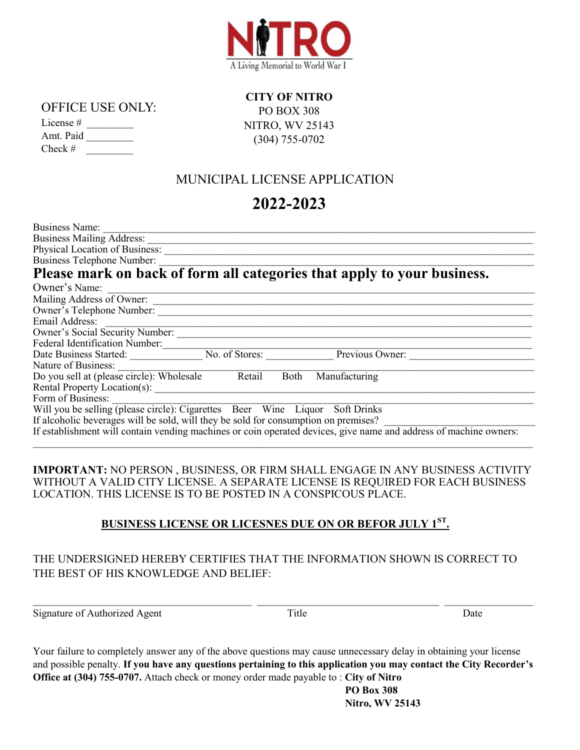

#### OFFICE USE ONLY:

| License $#$ |  |
|-------------|--|
| Amt. Paid   |  |
| $Check \#$  |  |

**CITY OF NITRO**  PO BOX 308 NITRO, WV 25143 (304) 755-0702

## MUNICIPAL LICENSE APPLICATION

# **2022-2023**

| Business Name:                                                                                                    |
|-------------------------------------------------------------------------------------------------------------------|
| <b>Business Mailing Address:</b>                                                                                  |
| Physical Location of Business:                                                                                    |
| <b>Business Telephone Number:</b>                                                                                 |
| Please mark on back of form all categories that apply to your business.                                           |
| Owner's Name:                                                                                                     |
| Mailing Address of Owner:                                                                                         |
| Owner's Telephone Number:                                                                                         |
| Email Address:                                                                                                    |
| Owner's Social Security Number:                                                                                   |
| <b>Federal Identification Number:</b>                                                                             |
| No. of Stores:<br>Previous Owner:<br>Date Business Started:                                                       |
| Nature of Business:                                                                                               |
| Do you sell at (please circle): Wholesale<br>Retail<br>Manufacturing<br><b>Both</b>                               |
| Rental Property Location(s):                                                                                      |
| Form of Business:                                                                                                 |
| Will you be selling (please circle): Cigarettes Beer Wine Liquor Soft Drinks                                      |
| If alcoholic beverages will be sold, will they be sold for consumption on premises?                               |
| If establishment will contain vending machines or coin operated devices, give name and address of machine owners: |

**IMPORTANT:** NO PERSON , BUSINESS, OR FIRM SHALL ENGAGE IN ANY BUSINESS ACTIVITY WITHOUT A VALID CITY LICENSE. A SEPARATE LICENSE IS REQUIRED FOR EACH BUSINESS LOCATION. THIS LICENSE IS TO BE POSTED IN A CONSPICOUS PLACE.

### **BUSINESS LICENSE OR LICESNES DUE ON OR BEFOR JULY 1ST .**

### THE UNDERSIGNED HEREBY CERTIFIES THAT THE INFORMATION SHOWN IS CORRECT TO THE BEST OF HIS KNOWLEDGE AND BELIEF:

Signature of Authorized Agent Title Title Date

Your failure to completely answer any of the above questions may cause unnecessary delay in obtaining your license and possible penalty. **If you have any questions pertaining to this application you may contact the City Recorder's Office at (304) 755-0707.** Attach check or money order made payable to : **City of Nitro**

 $\_$  ,  $\_$  ,  $\_$  ,  $\_$  ,  $\_$  ,  $\_$  ,  $\_$  ,  $\_$  ,  $\_$  ,  $\_$  ,  $\_$  ,  $\_$  ,  $\_$  ,  $\_$  ,  $\_$  ,  $\_$  ,  $\_$  ,  $\_$  ,  $\_$  ,  $\_$  ,  $\_$  ,  $\_$  ,  $\_$  ,  $\_$  ,  $\_$  ,  $\_$  ,  $\_$  ,  $\_$  ,  $\_$  ,  $\_$  ,  $\_$  ,  $\_$  ,  $\_$  ,  $\_$  ,  $\_$  ,  $\_$  ,  $\_$  ,

 **PO Box 308 Nitro, WV 25143**